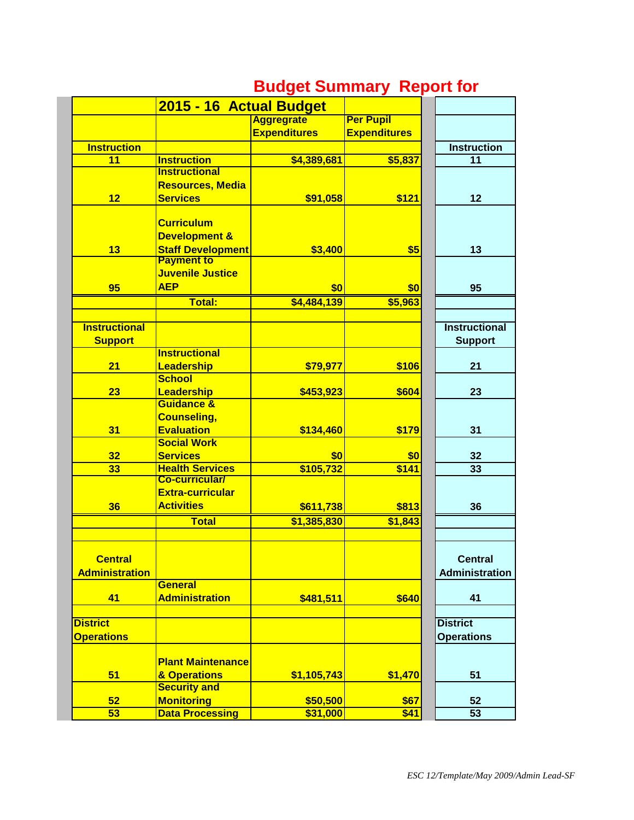|                       | 2015 - 16 Actual Budget  |                     |                     |                       |
|-----------------------|--------------------------|---------------------|---------------------|-----------------------|
|                       |                          | <b>Aggregrate</b>   | <b>Per Pupil</b>    |                       |
|                       |                          | <b>Expenditures</b> | <b>Expenditures</b> |                       |
| <b>Instruction</b>    |                          |                     |                     | <b>Instruction</b>    |
| 11                    | <b>Instruction</b>       | \$4,389,681         | \$5,837             | 11                    |
|                       | <b>Instructional</b>     |                     |                     |                       |
|                       | <b>Resources, Media</b>  |                     |                     |                       |
| 12                    | <b>Services</b>          | \$91,058            | \$121               | 12                    |
|                       |                          |                     |                     |                       |
|                       | <b>Curriculum</b>        |                     |                     |                       |
|                       | <b>Development &amp;</b> |                     |                     |                       |
| 13                    | <b>Staff Development</b> | \$3,400             | \$5                 | 13                    |
|                       | <b>Payment to</b>        |                     |                     |                       |
|                       | Juvenile Justice         |                     |                     |                       |
| 95                    | <b>AEP</b>               | \$0                 | \$0                 | 95                    |
|                       | Total:                   |                     |                     |                       |
|                       |                          | \$4,484,139         | \$5,963             |                       |
| <b>Instructional</b>  |                          |                     |                     | <b>Instructional</b>  |
|                       |                          |                     |                     |                       |
| <b>Support</b>        | <b>Instructional</b>     |                     |                     | <b>Support</b>        |
|                       |                          |                     |                     |                       |
| 21                    | Leadership               | \$79,977            | \$106               | 21                    |
|                       | <b>School</b>            |                     |                     |                       |
| 23                    | Leadership               | \$453,923           | \$604               | 23                    |
|                       | <b>Guidance &amp;</b>    |                     |                     |                       |
|                       | <b>Counseling,</b>       |                     |                     |                       |
| 31                    | <b>Evaluation</b>        | \$134,460           | \$179               | 31                    |
|                       | <b>Social Work</b>       |                     |                     |                       |
| 32                    | <b>Services</b>          | \$0                 | \$0                 | 32                    |
| 33                    | <b>Health Services</b>   | \$105,732           | \$141               | 33                    |
|                       | <b>Co-curricular/</b>    |                     |                     |                       |
|                       | <b>Extra-curricular</b>  |                     |                     |                       |
| 36                    | <b>Activities</b>        | \$611,738           | \$813               | 36                    |
|                       | <b>Total</b>             | \$1,385,830         | \$1,843             |                       |
|                       |                          |                     |                     |                       |
|                       |                          |                     |                     |                       |
| <b>Central</b>        |                          |                     |                     | <b>Central</b>        |
| <b>Administration</b> |                          |                     |                     | <b>Administration</b> |
|                       | General                  |                     |                     |                       |
| 41                    | <b>Administration</b>    | \$481,511           | \$640               | 41                    |
|                       |                          |                     |                     |                       |
| <b>District</b>       |                          |                     |                     | <b>District</b>       |
| <b>Operations</b>     |                          |                     |                     | <b>Operations</b>     |
|                       |                          |                     |                     |                       |
|                       | <b>Plant Maintenance</b> |                     |                     |                       |
| 51                    | & Operations             | \$1,105,743         | \$1,470             | 51                    |
|                       | <b>Security and</b>      |                     |                     |                       |
| 52                    | <b>Monitoring</b>        | \$50,500            | \$67                | 52                    |
| 53                    | <b>Data Processing</b>   | \$31,000            | \$41                | 53                    |

## **Budget Summary Report for**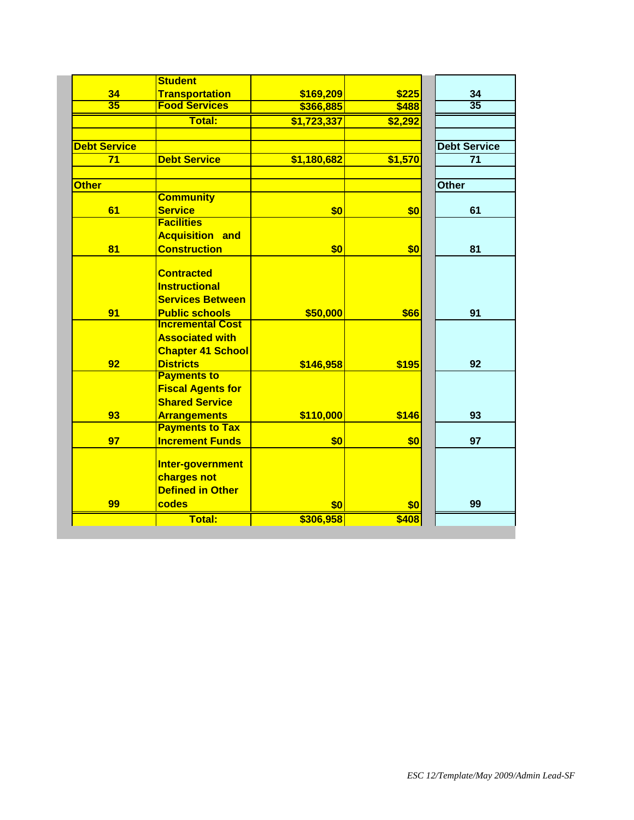|                     | <b>Student</b>           |             |         |                     |
|---------------------|--------------------------|-------------|---------|---------------------|
| 34                  | <b>Transportation</b>    | \$169,209   | \$225   | 34                  |
| $\overline{35}$     | <b>Food Services</b>     | \$366,885   | \$488   | $\overline{35}$     |
|                     | <b>Total:</b>            | \$1,723,337 | \$2,292 |                     |
|                     |                          |             |         |                     |
| <b>Debt Service</b> |                          |             |         | <b>Debt Service</b> |
| 71                  | <b>Debt Service</b>      | \$1,180,682 | \$1,570 | 71                  |
|                     |                          |             |         |                     |
| <b>Other</b>        |                          |             |         | <b>Other</b>        |
|                     | <b>Community</b>         |             |         |                     |
| 61                  | <b>Service</b>           | \$0         | \$0     | 61                  |
|                     | <b>Facilities</b>        |             |         |                     |
|                     | <b>Acquisition and</b>   |             |         |                     |
| 81                  | <b>Construction</b>      | \$0         | \$0     | 81                  |
|                     |                          |             |         |                     |
|                     | <b>Contracted</b>        |             |         |                     |
|                     | <b>Instructional</b>     |             |         |                     |
|                     | <b>Services Between</b>  |             |         |                     |
| 91                  | <b>Public schools</b>    | \$50,000    | \$66    | 91                  |
|                     | <b>Incremental Cost</b>  |             |         |                     |
|                     | <b>Associated with</b>   |             |         |                     |
|                     | <b>Chapter 41 School</b> |             |         |                     |
| 92                  | <b>Districts</b>         | \$146,958   | \$195   | 92                  |
|                     | <b>Payments to</b>       |             |         |                     |
|                     | <b>Fiscal Agents for</b> |             |         |                     |
|                     | <b>Shared Service</b>    |             |         |                     |
| 93                  | <b>Arrangements</b>      | \$110,000   | \$146   | 93                  |
|                     | <b>Payments to Tax</b>   |             |         |                     |
| 97                  | <b>Increment Funds</b>   | \$0         | \$0     | 97                  |
|                     | Inter-government         |             |         |                     |
|                     | charges not              |             |         |                     |
|                     | <b>Defined in Other</b>  |             |         |                     |
| 99                  | codes                    | \$0         |         | 99                  |
|                     |                          |             | \$0     |                     |
|                     | Total:                   | \$306,958   | \$408   |                     |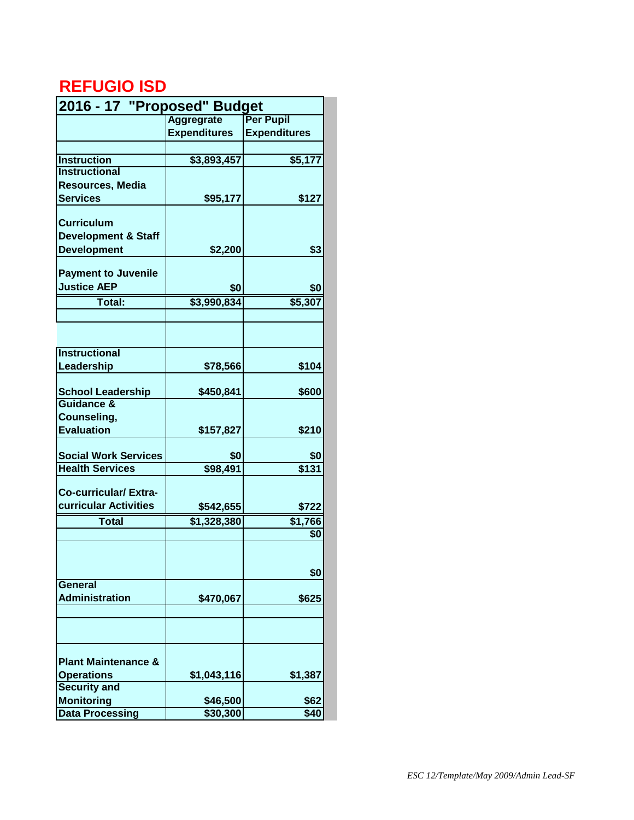## **REFUGIO ISD**

| 2016 - 17 "Proposed" Budget    |                     |                          |  |  |
|--------------------------------|---------------------|--------------------------|--|--|
|                                | <b>Aggregrate</b>   | <b>Per Pupil</b>         |  |  |
|                                | <b>Expenditures</b> | <b>Expenditures</b>      |  |  |
|                                |                     |                          |  |  |
| <b>Instruction</b>             | \$3,893,457         | \$5,177                  |  |  |
| <b>Instructional</b>           |                     |                          |  |  |
| <b>Resources, Media</b>        |                     |                          |  |  |
| <b>Services</b>                | \$95,177            | \$127                    |  |  |
|                                |                     |                          |  |  |
| <b>Curriculum</b>              |                     |                          |  |  |
| <b>Development &amp; Staff</b> |                     |                          |  |  |
| <b>Development</b>             | \$2,200             | \$3                      |  |  |
|                                |                     |                          |  |  |
| <b>Payment to Juvenile</b>     |                     |                          |  |  |
| <b>Justice AEP</b>             | \$0                 | \$0                      |  |  |
| Total:                         | \$3,990,834         | \$5,307                  |  |  |
|                                |                     |                          |  |  |
|                                |                     |                          |  |  |
|                                |                     |                          |  |  |
| <b>Instructional</b>           |                     |                          |  |  |
| Leadership                     | \$78,566            | \$104                    |  |  |
|                                |                     |                          |  |  |
| <b>School Leadership</b>       | \$450,841           | \$600                    |  |  |
| Guidance &                     |                     |                          |  |  |
| Counseling,                    |                     |                          |  |  |
| <b>Evaluation</b>              |                     |                          |  |  |
|                                | \$157,827           | \$210                    |  |  |
|                                | \$0                 |                          |  |  |
| <b>Social Work Services</b>    |                     | \$0<br>$\overline{$131}$ |  |  |
| <b>Health Services</b>         | \$98,491            |                          |  |  |
| Co-curricular/Extra-           |                     |                          |  |  |
| curricular Activities          |                     |                          |  |  |
|                                | \$542,655           | \$722                    |  |  |
| <b>Total</b>                   | \$1,328,380         | \$1,766                  |  |  |
|                                |                     | \$O                      |  |  |
|                                |                     |                          |  |  |
|                                |                     |                          |  |  |
|                                |                     | \$0                      |  |  |
| General                        |                     |                          |  |  |
| <b>Administration</b>          | \$470,067           | \$625                    |  |  |
|                                |                     |                          |  |  |
|                                |                     |                          |  |  |
|                                |                     |                          |  |  |
|                                |                     |                          |  |  |
| <b>Plant Maintenance &amp;</b> |                     |                          |  |  |
| <b>Operations</b>              | \$1,043,116         | \$1,387                  |  |  |
| <b>Security and</b>            |                     |                          |  |  |
| <b>Monitoring</b>              | \$46,500            | \$62                     |  |  |
| <b>Data Processing</b>         | \$30,300            | \$40                     |  |  |